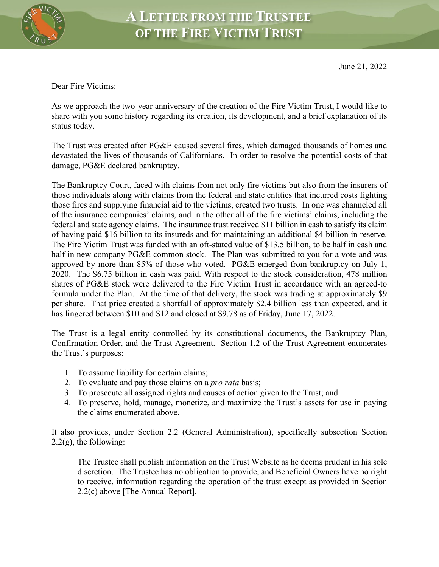

Dear Fire Victims:

As we approach the two-year anniversary of the creation of the Fire Victim Trust, I would like to share with you some history regarding its creation, its development, and a brief explanation of its status today.

The Trust was created after PG&E caused several fires, which damaged thousands of homes and devastated the lives of thousands of Californians. In order to resolve the potential costs of that damage, PG&E declared bankruptcy.

The Bankruptcy Court, faced with claims from not only fire victims but also from the insurers of those individuals along with claims from the federal and state entities that incurred costs fighting those fires and supplying financial aid to the victims, created two trusts. In one was channeled all of the insurance companies' claims, and in the other all of the fire victims' claims, including the federal and state agency claims. The insurance trust received \$11 billion in cash to satisfy its claim of having paid \$16 billion to its insureds and for maintaining an additional \$4 billion in reserve. The Fire Victim Trust was funded with an oft-stated value of \$13.5 billion, to be half in cash and half in new company PG&E common stock. The Plan was submitted to you for a vote and was approved by more than 85% of those who voted. PG&E emerged from bankruptcy on July 1, 2020. The \$6.75 billion in cash was paid. With respect to the stock consideration, 478 million shares of PG&E stock were delivered to the Fire Victim Trust in accordance with an agreed-to formula under the Plan. At the time of that delivery, the stock was trading at approximately \$9 per share. That price created a shortfall of approximately \$2.4 billion less than expected, and it has lingered between \$10 and \$12 and closed at \$9.78 as of Friday, June 17, 2022.

The Trust is a legal entity controlled by its constitutional documents, the Bankruptcy Plan, Confirmation Order, and the Trust Agreement. Section 1.2 of the Trust Agreement enumerates the Trust's purposes:

- 1. To assume liability for certain claims;
- 2. To evaluate and pay those claims on a *pro rata* basis;
- 3. To prosecute all assigned rights and causes of action given to the Trust; and
- 4. To preserve, hold, manage, monetize, and maximize the Trust's assets for use in paying the claims enumerated above.

It also provides, under Section 2.2 (General Administration), specifically subsection Section  $2.2(g)$ , the following:

The Trustee shall publish information on the Trust Website as he deems prudent in his sole discretion. The Trustee has no obligation to provide, and Beneficial Owners have no right to receive, information regarding the operation of the trust except as provided in Section 2.2(c) above [The Annual Report].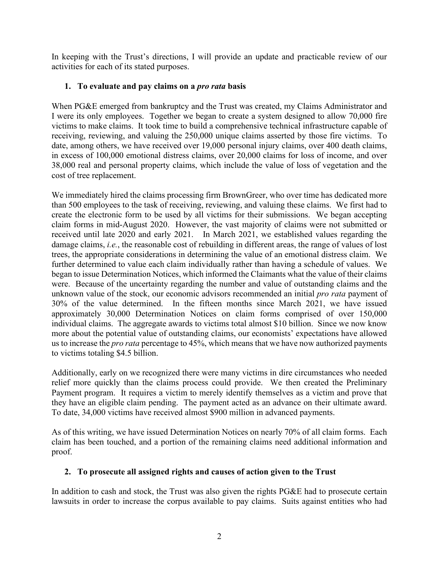In keeping with the Trust's directions, I will provide an update and practicable review of our activities for each of its stated purposes.

## **1. To evaluate and pay claims on a** *pro rata* **basis**

When PG&E emerged from bankruptcy and the Trust was created, my Claims Administrator and I were its only employees. Together we began to create a system designed to allow 70,000 fire victims to make claims. It took time to build a comprehensive technical infrastructure capable of receiving, reviewing, and valuing the 250,000 unique claims asserted by those fire victims. To date, among others, we have received over 19,000 personal injury claims, over 400 death claims, in excess of 100,000 emotional distress claims, over 20,000 claims for loss of income, and over 38,000 real and personal property claims, which include the value of loss of vegetation and the cost of tree replacement.

We immediately hired the claims processing firm BrownGreer, who over time has dedicated more than 500 employees to the task of receiving, reviewing, and valuing these claims. We first had to create the electronic form to be used by all victims for their submissions. We began accepting claim forms in mid-August 2020. However, the vast majority of claims were not submitted or received until late 2020 and early 2021. In March 2021, we established values regarding the damage claims, *i.e.*, the reasonable cost of rebuilding in different areas, the range of values of lost trees, the appropriate considerations in determining the value of an emotional distress claim. We further determined to value each claim individually rather than having a schedule of values. We began to issue Determination Notices, which informed the Claimants what the value of their claims were. Because of the uncertainty regarding the number and value of outstanding claims and the unknown value of the stock, our economic advisors recommended an initial *pro rata* payment of 30% of the value determined. In the fifteen months since March 2021, we have issued approximately 30,000 Determination Notices on claim forms comprised of over 150,000 individual claims. The aggregate awards to victims total almost \$10 billion. Since we now know more about the potential value of outstanding claims, our economists' expectations have allowed us to increase the *pro rata* percentage to 45%, which means that we have now authorized payments to victims totaling \$4.5 billion.

Additionally, early on we recognized there were many victims in dire circumstances who needed relief more quickly than the claims process could provide. We then created the Preliminary Payment program. It requires a victim to merely identify themselves as a victim and prove that they have an eligible claim pending. The payment acted as an advance on their ultimate award. To date, 34,000 victims have received almost \$900 million in advanced payments.

As of this writing, we have issued Determination Notices on nearly 70% of all claim forms. Each claim has been touched, and a portion of the remaining claims need additional information and proof.

## **2. To prosecute all assigned rights and causes of action given to the Trust**

In addition to cash and stock, the Trust was also given the rights PG&E had to prosecute certain lawsuits in order to increase the corpus available to pay claims. Suits against entities who had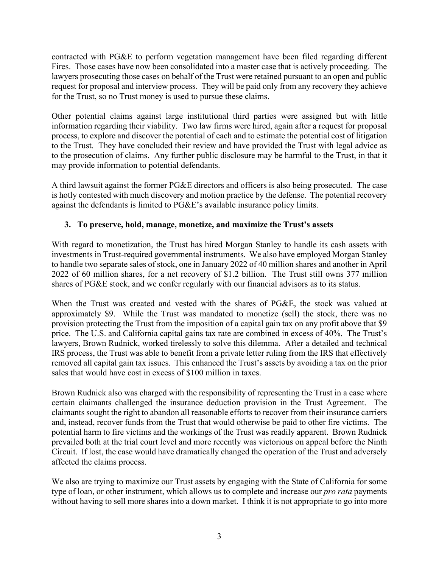contracted with PG&E to perform vegetation management have been filed regarding different Fires. Those cases have now been consolidated into a master case that is actively proceeding. The lawyers prosecuting those cases on behalf of the Trust were retained pursuant to an open and public request for proposal and interview process. They will be paid only from any recovery they achieve for the Trust, so no Trust money is used to pursue these claims.

Other potential claims against large institutional third parties were assigned but with little information regarding their viability. Two law firms were hired, again after a request for proposal process, to explore and discover the potential of each and to estimate the potential cost of litigation to the Trust. They have concluded their review and have provided the Trust with legal advice as to the prosecution of claims. Any further public disclosure may be harmful to the Trust, in that it may provide information to potential defendants.

A third lawsuit against the former PG&E directors and officers is also being prosecuted. The case is hotly contested with much discovery and motion practice by the defense. The potential recovery against the defendants is limited to PG&E's available insurance policy limits.

## **3. To preserve, hold, manage, monetize, and maximize the Trust's assets**

With regard to monetization, the Trust has hired Morgan Stanley to handle its cash assets with investments in Trust-required governmental instruments. We also have employed Morgan Stanley to handle two separate sales of stock, one in January 2022 of 40 million shares and another in April 2022 of 60 million shares, for a net recovery of \$1.2 billion. The Trust still owns 377 million shares of PG&E stock, and we confer regularly with our financial advisors as to its status.

When the Trust was created and vested with the shares of PG&E, the stock was valued at approximately \$9. While the Trust was mandated to monetize (sell) the stock, there was no provision protecting the Trust from the imposition of a capital gain tax on any profit above that \$9 price. The U.S. and California capital gains tax rate are combined in excess of 40%. The Trust's lawyers, Brown Rudnick, worked tirelessly to solve this dilemma. After a detailed and technical IRS process, the Trust was able to benefit from a private letter ruling from the IRS that effectively removed all capital gain tax issues. This enhanced the Trust's assets by avoiding a tax on the prior sales that would have cost in excess of \$100 million in taxes.

Brown Rudnick also was charged with the responsibility of representing the Trust in a case where certain claimants challenged the insurance deduction provision in the Trust Agreement. The claimants sought the right to abandon all reasonable efforts to recover from their insurance carriers and, instead, recover funds from the Trust that would otherwise be paid to other fire victims. The potential harm to fire victims and the workings of the Trust was readily apparent. Brown Rudnick prevailed both at the trial court level and more recently was victorious on appeal before the Ninth Circuit. If lost, the case would have dramatically changed the operation of the Trust and adversely affected the claims process.

We also are trying to maximize our Trust assets by engaging with the State of California for some type of loan, or other instrument, which allows us to complete and increase our *pro rata* payments without having to sell more shares into a down market. I think it is not appropriate to go into more